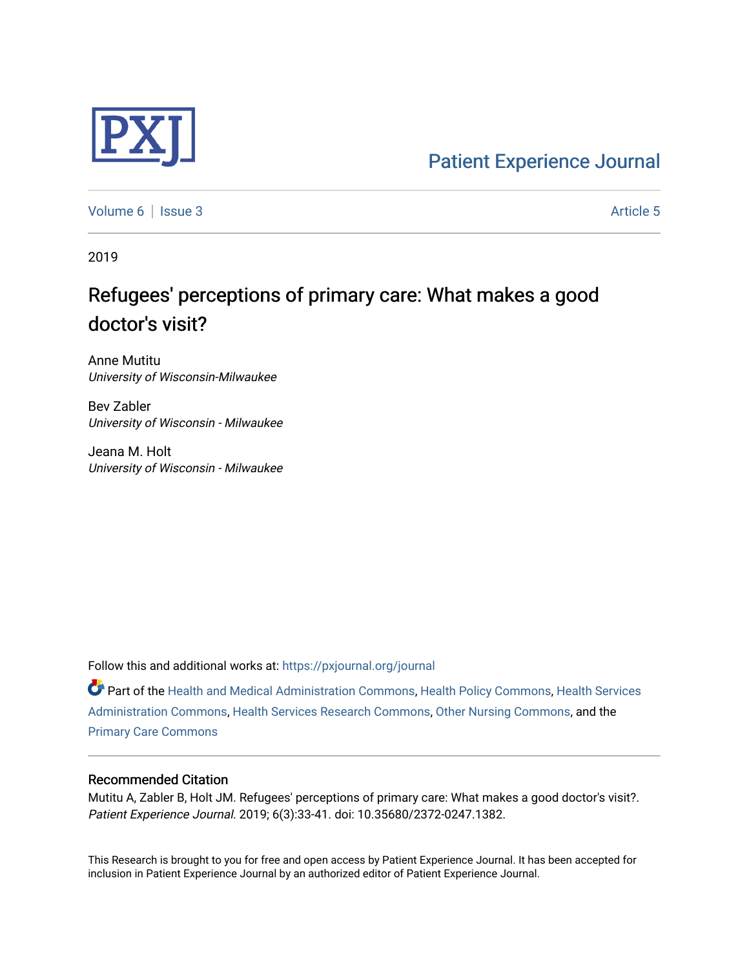

[Patient Experience Journal](https://pxjournal.org/journal) 

[Volume 6](https://pxjournal.org/journal/vol6) | [Issue 3](https://pxjournal.org/journal/vol6/iss3) Article 5

2019

# Refugees' perceptions of primary care: What makes a good doctor's visit?

Anne Mutitu University of Wisconsin-Milwaukee

Bev Zabler University of Wisconsin - Milwaukee

Jeana M. Holt University of Wisconsin - Milwaukee

Follow this and additional works at: [https://pxjournal.org/journal](https://pxjournal.org/journal?utm_source=pxjournal.org%2Fjournal%2Fvol6%2Fiss3%2F5&utm_medium=PDF&utm_campaign=PDFCoverPages) 

Part of the [Health and Medical Administration Commons](http://network.bepress.com/hgg/discipline/663?utm_source=pxjournal.org%2Fjournal%2Fvol6%2Fiss3%2F5&utm_medium=PDF&utm_campaign=PDFCoverPages), [Health Policy Commons,](http://network.bepress.com/hgg/discipline/395?utm_source=pxjournal.org%2Fjournal%2Fvol6%2Fiss3%2F5&utm_medium=PDF&utm_campaign=PDFCoverPages) [Health Services](http://network.bepress.com/hgg/discipline/747?utm_source=pxjournal.org%2Fjournal%2Fvol6%2Fiss3%2F5&utm_medium=PDF&utm_campaign=PDFCoverPages) [Administration Commons,](http://network.bepress.com/hgg/discipline/747?utm_source=pxjournal.org%2Fjournal%2Fvol6%2Fiss3%2F5&utm_medium=PDF&utm_campaign=PDFCoverPages) [Health Services Research Commons,](http://network.bepress.com/hgg/discipline/816?utm_source=pxjournal.org%2Fjournal%2Fvol6%2Fiss3%2F5&utm_medium=PDF&utm_campaign=PDFCoverPages) [Other Nursing Commons,](http://network.bepress.com/hgg/discipline/729?utm_source=pxjournal.org%2Fjournal%2Fvol6%2Fiss3%2F5&utm_medium=PDF&utm_campaign=PDFCoverPages) and the [Primary Care Commons](http://network.bepress.com/hgg/discipline/1092?utm_source=pxjournal.org%2Fjournal%2Fvol6%2Fiss3%2F5&utm_medium=PDF&utm_campaign=PDFCoverPages)

# Recommended Citation

Mutitu A, Zabler B, Holt JM. Refugees' perceptions of primary care: What makes a good doctor's visit?. Patient Experience Journal. 2019; 6(3):33-41. doi: 10.35680/2372-0247.1382.

This Research is brought to you for free and open access by Patient Experience Journal. It has been accepted for inclusion in Patient Experience Journal by an authorized editor of Patient Experience Journal.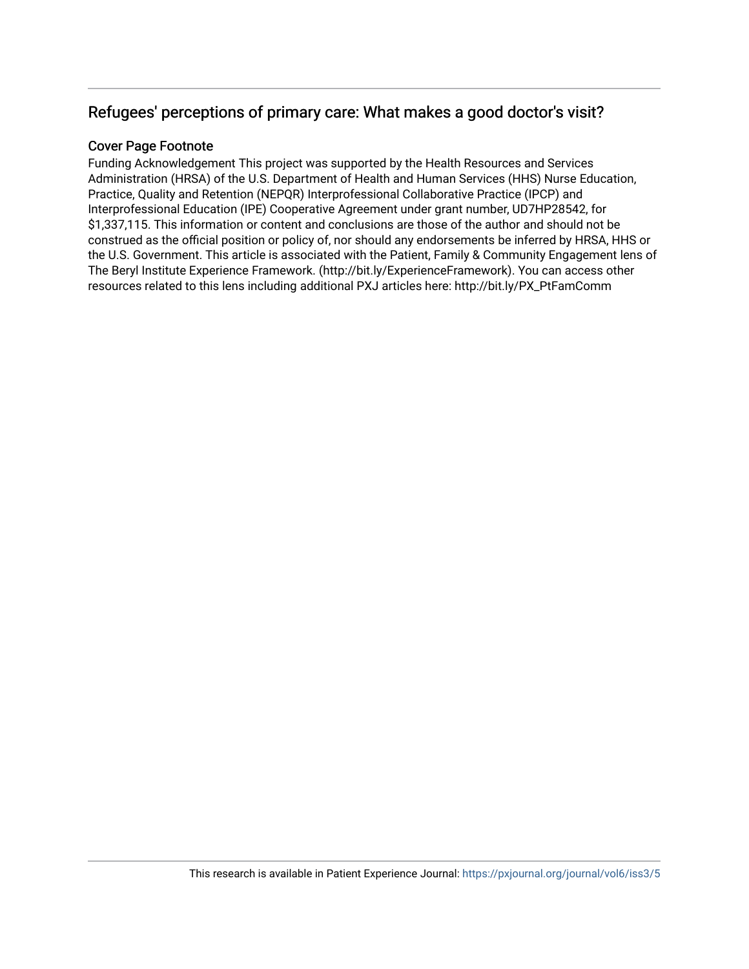# Refugees' perceptions of primary care: What makes a good doctor's visit?

# Cover Page Footnote

Funding Acknowledgement This project was supported by the Health Resources and Services Administration (HRSA) of the U.S. Department of Health and Human Services (HHS) Nurse Education, Practice, Quality and Retention (NEPQR) Interprofessional Collaborative Practice (IPCP) and Interprofessional Education (IPE) Cooperative Agreement under grant number, UD7HP28542, for \$1,337,115. This information or content and conclusions are those of the author and should not be construed as the official position or policy of, nor should any endorsements be inferred by HRSA, HHS or the U.S. Government. This article is associated with the Patient, Family & Community Engagement lens of The Beryl Institute Experience Framework. (http://bit.ly/ExperienceFramework). You can access other resources related to this lens including additional PXJ articles here: http://bit.ly/PX\_PtFamComm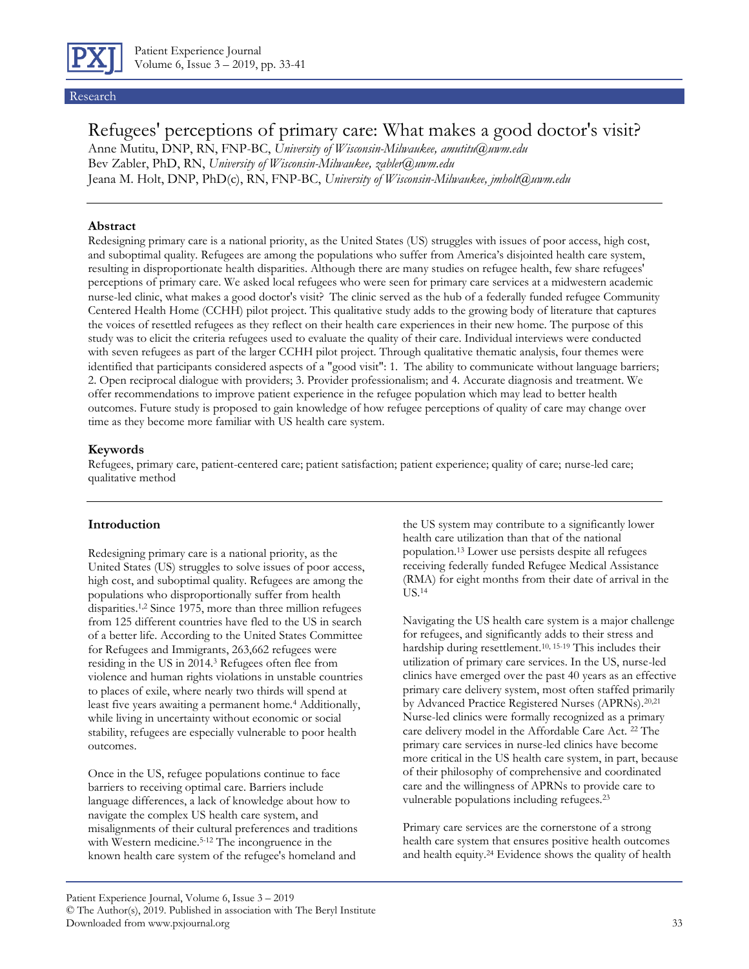

#### Research

# Refugees' perceptions of primary care: What makes a good doctor's visit?

Anne Mutitu, DNP, RN, FNP-BC, *University of Wisconsin-Milwaukee, amutitu@uwm.edu* Bev Zabler, PhD, RN, *University of Wisconsin-Milwaukee, zabler@uwm.edu* Jeana M. Holt, DNP, PhD(c), RN, FNP-BC, *University of Wisconsin-Milwaukee, jmholt@uwm.edu*

#### **Abstract**

Redesigning primary care is a national priority, as the United States (US) struggles with issues of poor access, high cost, and suboptimal quality. Refugees are among the populations who suffer from America's disjointed health care system, resulting in disproportionate health disparities. Although there are many studies on refugee health, few share refugees' perceptions of primary care. We asked local refugees who were seen for primary care services at a midwestern academic nurse-led clinic, what makes a good doctor's visit? The clinic served as the hub of a federally funded refugee Community Centered Health Home (CCHH) pilot project. This qualitative study adds to the growing body of literature that captures the voices of resettled refugees as they reflect on their health care experiences in their new home. The purpose of this study was to elicit the criteria refugees used to evaluate the quality of their care. Individual interviews were conducted with seven refugees as part of the larger CCHH pilot project. Through qualitative thematic analysis, four themes were identified that participants considered aspects of a "good visit": 1. The ability to communicate without language barriers; 2. Open reciprocal dialogue with providers; 3. Provider professionalism; and 4. Accurate diagnosis and treatment. We offer recommendations to improve patient experience in the refugee population which may lead to better health outcomes. Future study is proposed to gain knowledge of how refugee perceptions of quality of care may change over time as they become more familiar with US health care system.

#### **Keywords**

Refugees, primary care, patient-centered care; patient satisfaction; patient experience; quality of care; nurse-led care; qualitative method

#### **Introduction**

Redesigning primary care is a national priority, as the United States (US) struggles to solve issues of poor access, high cost, and suboptimal quality. Refugees are among the populations who disproportionally suffer from health disparities.1,2 Since 1975, more than three million refugees from 125 different countries have fled to the US in search of a better life. According to the United States Committee for Refugees and Immigrants, 263,662 refugees were residing in the US in 2014.<sup>3</sup> Refugees often flee from violence and human rights violations in unstable countries to places of exile, where nearly two thirds will spend at least five years awaiting a permanent home.<sup>4</sup> Additionally, while living in uncertainty without economic or social stability, refugees are especially vulnerable to poor health outcomes.

Once in the US, refugee populations continue to face barriers to receiving optimal care. Barriers include language differences, a lack of knowledge about how to navigate the complex US health care system, and misalignments of their cultural preferences and traditions with Western medicine.<sup>5-12</sup> The incongruence in the known health care system of the refugee's homeland and

the US system may contribute to a significantly lower health care utilization than that of the national population.<sup>13</sup> Lower use persists despite all refugees receiving federally funded Refugee Medical Assistance (RMA) for eight months from their date of arrival in the US.<sup>14</sup>

Navigating the US health care system is a major challenge for refugees, and significantly adds to their stress and hardship during resettlement.10, 15-19 This includes their utilization of primary care services. In the US, nurse-led clinics have emerged over the past 40 years as an effective primary care delivery system, most often staffed primarily by Advanced Practice Registered Nurses (APRNs).<sup>20,21</sup> Nurse-led clinics were formally recognized as a primary care delivery model in the Affordable Care Act. <sup>22</sup> The primary care services in nurse-led clinics have become more critical in the US health care system, in part, because of their philosophy of comprehensive and coordinated care and the willingness of APRNs to provide care to vulnerable populations including refugees.<sup>23</sup>

Primary care services are the cornerstone of a strong health care system that ensures positive health outcomes and health equity.<sup>24</sup> Evidence shows the quality of health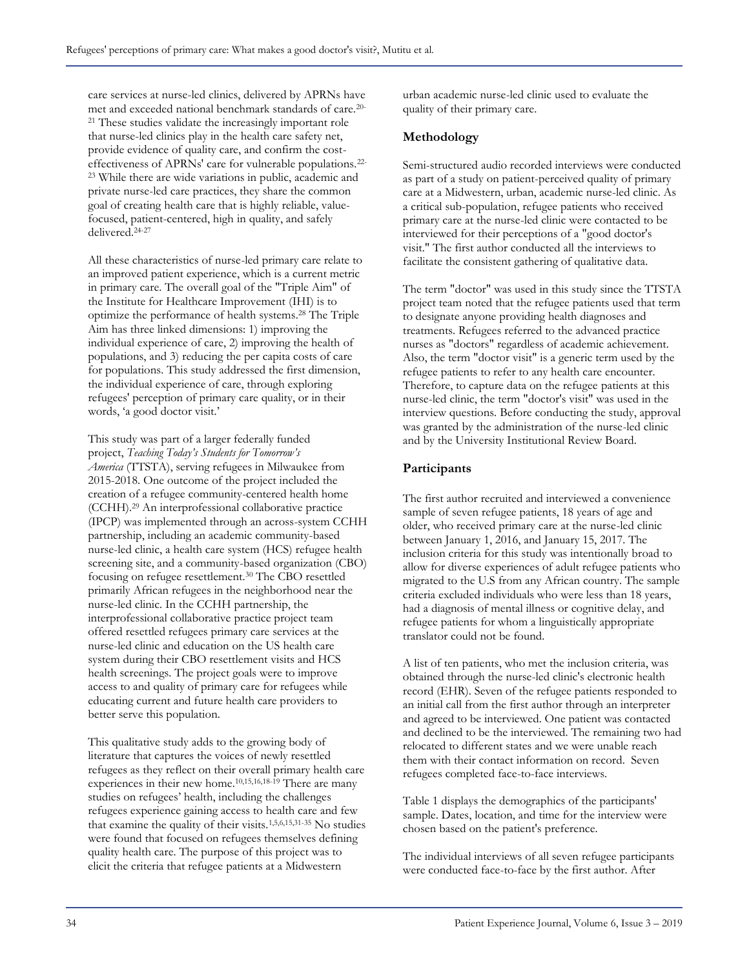care services at nurse-led clinics, delivered by APRNs have met and exceeded national benchmark standards of care.20- <sup>21</sup> These studies validate the increasingly important role that nurse-led clinics play in the health care safety net, provide evidence of quality care, and confirm the costeffectiveness of APRNs' care for vulnerable populations.22- <sup>23</sup> While there are wide variations in public, academic and private nurse-led care practices, they share the common goal of creating health care that is highly reliable, valuefocused, patient-centered, high in quality, and safely delivered.24-27

All these characteristics of nurse-led primary care relate to an improved patient experience, which is a current metric in primary care. The overall goal of the "Triple Aim" of the Institute for Healthcare Improvement (IHI) is to optimize the performance of health systems.<sup>28</sup> The Triple Aim has three linked dimensions: 1) improving the individual experience of care, 2) improving the health of populations, and 3) reducing the per capita costs of care for populations. This study addressed the first dimension, the individual experience of care, through exploring refugees' perception of primary care quality, or in their words, 'a good doctor visit.'

This study was part of a larger federally funded project, *Teaching Today's Students for Tomorrow's America* (TTSTA), serving refugees in Milwaukee from 2015-2018. One outcome of the project included the creation of a refugee community-centered health home (CCHH).<sup>29</sup> An interprofessional collaborative practice (IPCP) was implemented through an across-system CCHH partnership, including an academic community-based nurse-led clinic, a health care system (HCS) refugee health screening site, and a community-based organization (CBO) focusing on refugee resettlement.<sup>30</sup> The CBO resettled primarily African refugees in the neighborhood near the nurse-led clinic. In the CCHH partnership, the interprofessional collaborative practice project team offered resettled refugees primary care services at the nurse-led clinic and education on the US health care system during their CBO resettlement visits and HCS health screenings. The project goals were to improve access to and quality of primary care for refugees while educating current and future health care providers to better serve this population.

This qualitative study adds to the growing body of literature that captures the voices of newly resettled refugees as they reflect on their overall primary health care experiences in their new home.10,15,16,18-19 There are many studies on refugees' health, including the challenges refugees experience gaining access to health care and few that examine the quality of their visits.1,5,6,15,31-35 No studies were found that focused on refugees themselves defining quality health care. The purpose of this project was to elicit the criteria that refugee patients at a Midwestern

urban academic nurse-led clinic used to evaluate the quality of their primary care.

# **Methodology**

Semi-structured audio recorded interviews were conducted as part of a study on patient-perceived quality of primary care at a Midwestern, urban, academic nurse-led clinic. As a critical sub-population, refugee patients who received primary care at the nurse-led clinic were contacted to be interviewed for their perceptions of a "good doctor's visit." The first author conducted all the interviews to facilitate the consistent gathering of qualitative data.

The term "doctor" was used in this study since the TTSTA project team noted that the refugee patients used that term to designate anyone providing health diagnoses and treatments. Refugees referred to the advanced practice nurses as "doctors" regardless of academic achievement. Also, the term "doctor visit" is a generic term used by the refugee patients to refer to any health care encounter. Therefore, to capture data on the refugee patients at this nurse-led clinic, the term "doctor's visit" was used in the interview questions. Before conducting the study, approval was granted by the administration of the nurse-led clinic and by the University Institutional Review Board.

# **Participants**

The first author recruited and interviewed a convenience sample of seven refugee patients, 18 years of age and older, who received primary care at the nurse-led clinic between January 1, 2016, and January 15, 2017. The inclusion criteria for this study was intentionally broad to allow for diverse experiences of adult refugee patients who migrated to the U.S from any African country. The sample criteria excluded individuals who were less than 18 years, had a diagnosis of mental illness or cognitive delay, and refugee patients for whom a linguistically appropriate translator could not be found.

A list of ten patients, who met the inclusion criteria, was obtained through the nurse-led clinic's electronic health record (EHR). Seven of the refugee patients responded to an initial call from the first author through an interpreter and agreed to be interviewed. One patient was contacted and declined to be the interviewed. The remaining two had relocated to different states and we were unable reach them with their contact information on record. Seven refugees completed face-to-face interviews.

Table 1 displays the demographics of the participants' sample. Dates, location, and time for the interview were chosen based on the patient's preference.

The individual interviews of all seven refugee participants were conducted face-to-face by the first author. After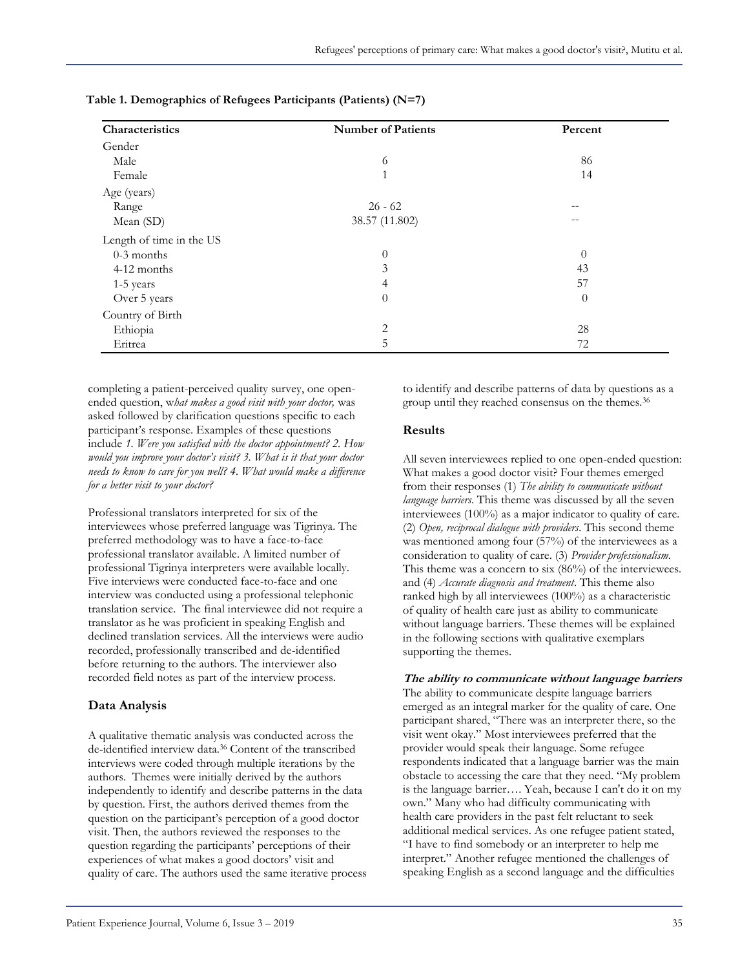| Characteristics          | <b>Number of Patients</b> | Percent           |
|--------------------------|---------------------------|-------------------|
| Gender                   |                           |                   |
| Male                     | 6                         | 86                |
| Female                   | $\overline{1}$            | 14                |
| Age (years)              |                           |                   |
| Range                    | $26 - 62$                 | $\qquad \qquad -$ |
| Mean (SD)                | 38.57 (11.802)            | --                |
| Length of time in the US |                           |                   |
| $0-3$ months             | $\theta$                  | $\theta$          |
| 4-12 months              | 3                         | 43                |
| 1-5 years                | 4                         | 57                |
| Over 5 years             | $\theta$                  | $\theta$          |
| Country of Birth         |                           |                   |
| Ethiopia                 | 2                         | 28                |
| Eritrea                  | 5                         | 72                |

**Table 1. Demographics of Refugees Participants (Patients) (N=7)**

completing a patient-perceived quality survey, one openended question, w*hat makes a good visit with your doctor,* was asked followed by clarification questions specific to each participant's response. Examples of these questions include *1. Were you satisfied with the doctor appointment? 2. How would you improve your doctor's visit? 3. What is it that your doctor needs to know to care for you well? 4. What would make a difference for a better visit to your doctor?*

Professional translators interpreted for six of the interviewees whose preferred language was Tigrinya. The preferred methodology was to have a face-to-face professional translator available. A limited number of professional Tigrinya interpreters were available locally. Five interviews were conducted face-to-face and one interview was conducted using a professional telephonic translation service. The final interviewee did not require a translator as he was proficient in speaking English and declined translation services. All the interviews were audio recorded, professionally transcribed and de-identified before returning to the authors. The interviewer also recorded field notes as part of the interview process.

# **Data Analysis**

A qualitative thematic analysis was conducted across the de-identified interview data.<sup>36</sup> Content of the transcribed interviews were coded through multiple iterations by the authors. Themes were initially derived by the authors independently to identify and describe patterns in the data by question. First, the authors derived themes from the question on the participant's perception of a good doctor visit. Then, the authors reviewed the responses to the question regarding the participants' perceptions of their experiences of what makes a good doctors' visit and quality of care. The authors used the same iterative process to identify and describe patterns of data by questions as a group until they reached consensus on the themes.<sup>36</sup>

## **Results**

All seven interviewees replied to one open-ended question: What makes a good doctor visit? Four themes emerged from their responses (1) *The ability to communicate without language barriers*. This theme was discussed by all the seven interviewees (100%) as a major indicator to quality of care. (2) *Open, reciprocal dialogue with providers*. This second theme was mentioned among four (57%) of the interviewees as a consideration to quality of care. (3) *Provider professionalism*. This theme was a concern to six (86%) of the interviewees. and (4) *Accurate diagnosis and treatment*. This theme also ranked high by all interviewees (100%) as a characteristic of quality of health care just as ability to communicate without language barriers. These themes will be explained in the following sections with qualitative exemplars supporting the themes.

#### **The ability to communicate without language barriers**

The ability to communicate despite language barriers emerged as an integral marker for the quality of care. One participant shared, "There was an interpreter there, so the visit went okay." Most interviewees preferred that the provider would speak their language. Some refugee respondents indicated that a language barrier was the main obstacle to accessing the care that they need. "My problem is the language barrier…. Yeah, because I can't do it on my own." Many who had difficulty communicating with health care providers in the past felt reluctant to seek additional medical services. As one refugee patient stated, "I have to find somebody or an interpreter to help me interpret." Another refugee mentioned the challenges of speaking English as a second language and the difficulties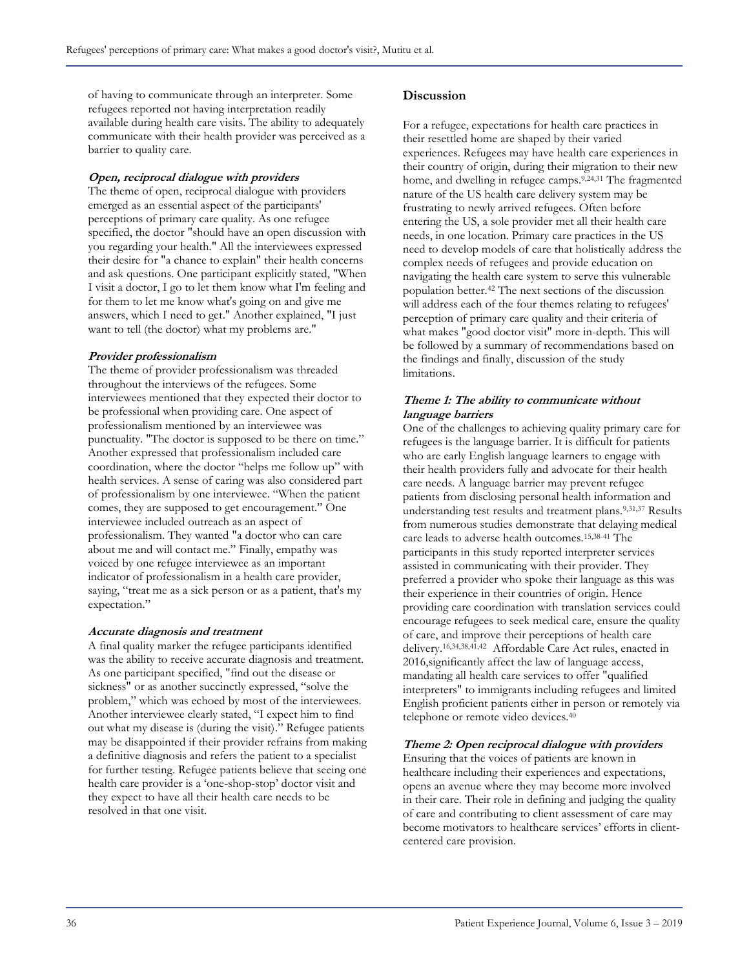of having to communicate through an interpreter. Some refugees reported not having interpretation readily available during health care visits. The ability to adequately communicate with their health provider was perceived as a barrier to quality care.

#### **Open, reciprocal dialogue with providers**

The theme of open, reciprocal dialogue with providers emerged as an essential aspect of the participants' perceptions of primary care quality. As one refugee specified, the doctor "should have an open discussion with you regarding your health." All the interviewees expressed their desire for "a chance to explain" their health concerns and ask questions. One participant explicitly stated, "When I visit a doctor, I go to let them know what I'm feeling and for them to let me know what's going on and give me answers, which I need to get." Another explained, "I just want to tell (the doctor) what my problems are."

#### **Provider professionalism**

The theme of provider professionalism was threaded throughout the interviews of the refugees. Some interviewees mentioned that they expected their doctor to be professional when providing care. One aspect of professionalism mentioned by an interviewee was punctuality. "The doctor is supposed to be there on time." Another expressed that professionalism included care coordination, where the doctor "helps me follow up" with health services. A sense of caring was also considered part of professionalism by one interviewee. "When the patient comes, they are supposed to get encouragement." One interviewee included outreach as an aspect of professionalism. They wanted "a doctor who can care about me and will contact me." Finally, empathy was voiced by one refugee interviewee as an important indicator of professionalism in a health care provider, saying, "treat me as a sick person or as a patient, that's my expectation."

#### **Accurate diagnosis and treatment**

A final quality marker the refugee participants identified was the ability to receive accurate diagnosis and treatment. As one participant specified, "find out the disease or sickness" or as another succinctly expressed, "solve the problem," which was echoed by most of the interviewees. Another interviewee clearly stated, "I expect him to find out what my disease is (during the visit)." Refugee patients may be disappointed if their provider refrains from making a definitive diagnosis and refers the patient to a specialist for further testing. Refugee patients believe that seeing one health care provider is a 'one-shop-stop' doctor visit and they expect to have all their health care needs to be resolved in that one visit.

#### **Discussion**

For a refugee, expectations for health care practices in their resettled home are shaped by their varied experiences. Refugees may have health care experiences in their country of origin, during their migration to their new home, and dwelling in refugee camps.<sup>9,24,31</sup> The fragmented nature of the US health care delivery system may be frustrating to newly arrived refugees. Often before entering the US, a sole provider met all their health care needs, in one location. Primary care practices in the US need to develop models of care that holistically address the complex needs of refugees and provide education on navigating the health care system to serve this vulnerable population better.<sup>42</sup> The next sections of the discussion will address each of the four themes relating to refugees' perception of primary care quality and their criteria of what makes "good doctor visit" more in-depth. This will be followed by a summary of recommendations based on the findings and finally, discussion of the study limitations.

#### **Theme 1: The ability to communicate without language barriers**

One of the challenges to achieving quality primary care for refugees is the language barrier. It is difficult for patients who are early English language learners to engage with their health providers fully and advocate for their health care needs. A language barrier may prevent refugee patients from disclosing personal health information and understanding test results and treatment plans.<sup>9,31,37</sup> Results from numerous studies demonstrate that delaying medical care leads to adverse health outcomes.15,38-41 The participants in this study reported interpreter services assisted in communicating with their provider. They preferred a provider who spoke their language as this was their experience in their countries of origin. Hence providing care coordination with translation services could encourage refugees to seek medical care, ensure the quality of care, and improve their perceptions of health care delivery.16,34,38,41,42 Affordable Care Act rules, enacted in 2016,significantly affect the law of language access, mandating all health care services to offer "qualified interpreters" to immigrants including refugees and limited English proficient patients either in person or remotely via telephone or remote video devices.<sup>40</sup>

#### **Theme 2: Open reciprocal dialogue with providers**

Ensuring that the voices of patients are known in healthcare including their experiences and expectations, opens an avenue where they may become more involved in their care. Their role in defining and judging the quality of care and contributing to client assessment of care may become motivators to healthcare services' efforts in clientcentered care provision.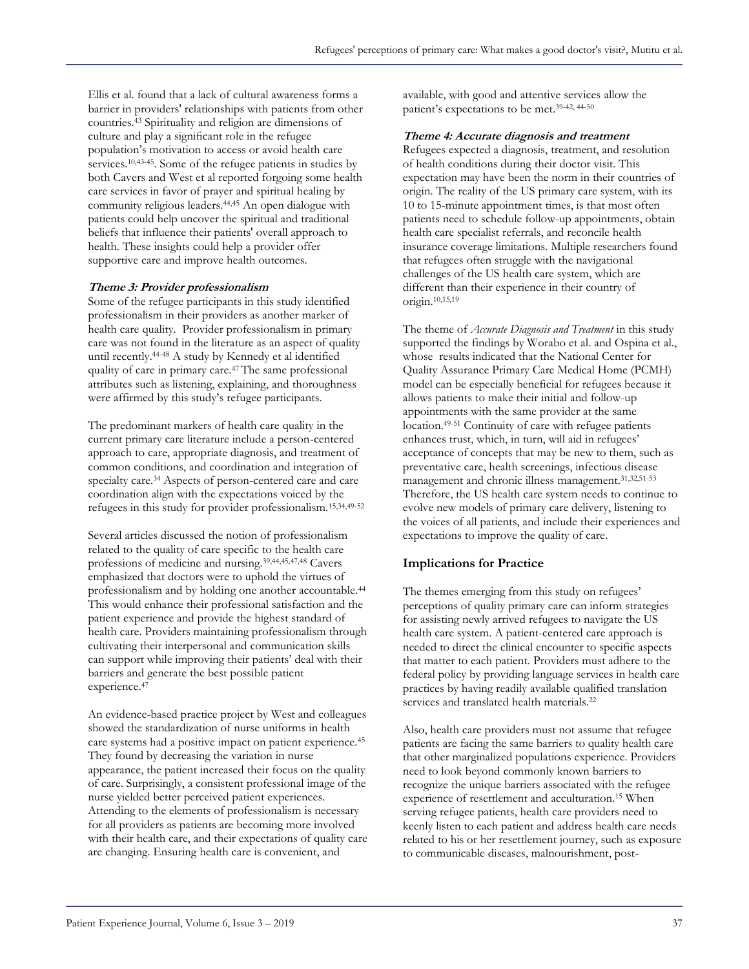Ellis et al. found that a lack of cultural awareness forms a barrier in providers' relationships with patients from other countries.<sup>43</sup> Spirituality and religion are dimensions of culture and play a significant role in the refugee population's motivation to access or avoid health care services.<sup>10,43-45</sup>. Some of the refugee patients in studies by both Cavers and West et al reported forgoing some health care services in favor of prayer and spiritual healing by community religious leaders.44,45 An open dialogue with patients could help uncover the spiritual and traditional beliefs that influence their patients' overall approach to health. These insights could help a provider offer supportive care and improve health outcomes.

#### **Theme 3: Provider professionalism**

Some of the refugee participants in this study identified professionalism in their providers as another marker of health care quality. Provider professionalism in primary care was not found in the literature as an aspect of quality until recently.44-48 A study by Kennedy et al identified quality of care in primary care.47 The same professional attributes such as listening, explaining, and thoroughness were affirmed by this study's refugee participants.

The predominant markers of health care quality in the current primary care literature include a person-centered approach to care, appropriate diagnosis, and treatment of common conditions, and coordination and integration of specialty care.<sup>34</sup> Aspects of person-centered care and care coordination align with the expectations voiced by the refugees in this study for provider professionalism.15,34,49-52

Several articles discussed the notion of professionalism related to the quality of care specific to the health care professions of medicine and nursing.39,44,45,47,48 Cavers emphasized that doctors were to uphold the virtues of professionalism and by holding one another accountable.<sup>44</sup> This would enhance their professional satisfaction and the patient experience and provide the highest standard of health care. Providers maintaining professionalism through cultivating their interpersonal and communication skills can support while improving their patients' deal with their barriers and generate the best possible patient experience.<sup>47</sup>

An evidence-based practice project by West and colleagues showed the standardization of nurse uniforms in health care systems had a positive impact on patient experience.<sup>45</sup> They found by decreasing the variation in nurse appearance, the patient increased their focus on the quality of care. Surprisingly, a consistent professional image of the nurse yielded better perceived patient experiences. Attending to the elements of professionalism is necessary for all providers as patients are becoming more involved with their health care, and their expectations of quality care are changing. Ensuring health care is convenient, and

available, with good and attentive services allow the patient's expectations to be met.39-42, 44-50

#### **Theme 4: Accurate diagnosis and treatment**

Refugees expected a diagnosis, treatment, and resolution of health conditions during their doctor visit. This expectation may have been the norm in their countries of origin. The reality of the US primary care system, with its 10 to 15-minute appointment times, is that most often patients need to schedule follow-up appointments, obtain health care specialist referrals, and reconcile health insurance coverage limitations. Multiple researchers found that refugees often struggle with the navigational challenges of the US health care system, which are different than their experience in their country of origin.10,15,19

The theme of *Accurate Diagnosis and Treatment* in this study supported the findings by Worabo et al. and Ospina et al., whose results indicated that the National Center for Quality Assurance Primary Care Medical Home (PCMH) model can be especially beneficial for refugees because it allows patients to make their initial and follow-up appointments with the same provider at the same location.49-51 Continuity of care with refugee patients enhances trust, which, in turn, will aid in refugees' acceptance of concepts that may be new to them, such as preventative care, health screenings, infectious disease management and chronic illness management.31,32,51-53 Therefore, the US health care system needs to continue to evolve new models of primary care delivery, listening to the voices of all patients, and include their experiences and expectations to improve the quality of care.

#### **Implications for Practice**

The themes emerging from this study on refugees' perceptions of quality primary care can inform strategies for assisting newly arrived refugees to navigate the US health care system. A patient-centered care approach is needed to direct the clinical encounter to specific aspects that matter to each patient. Providers must adhere to the federal policy by providing language services in health care practices by having readily available qualified translation services and translated health materials.<sup>22</sup>

Also, health care providers must not assume that refugee patients are facing the same barriers to quality health care that other marginalized populations experience. Providers need to look beyond commonly known barriers to recognize the unique barriers associated with the refugee experience of resettlement and acculturation.<sup>15</sup> When serving refugee patients, health care providers need to keenly listen to each patient and address health care needs related to his or her resettlement journey, such as exposure to communicable diseases, malnourishment, post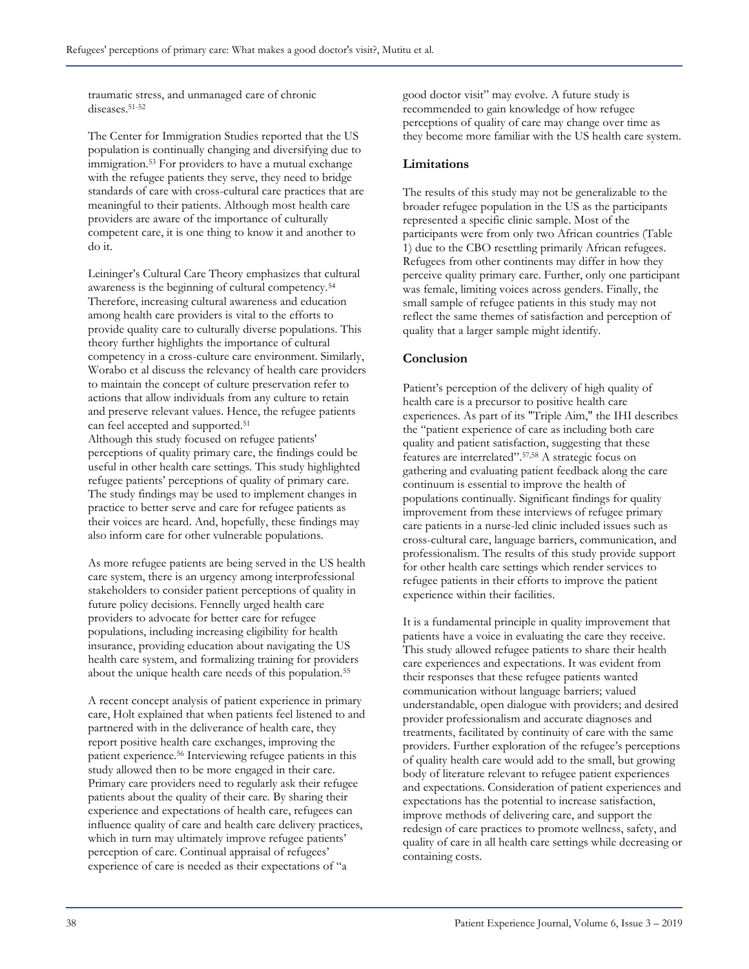traumatic stress, and unmanaged care of chronic diseases.51-52

The Center for Immigration Studies reported that the US population is continually changing and diversifying due to immigration.<sup>53</sup> For providers to have a mutual exchange with the refugee patients they serve, they need to bridge standards of care with cross-cultural care practices that are meaningful to their patients. Although most health care providers are aware of the importance of culturally competent care, it is one thing to know it and another to do it.

Leininger's Cultural Care Theory emphasizes that cultural awareness is the beginning of cultural competency.<sup>54</sup> Therefore, increasing cultural awareness and education among health care providers is vital to the efforts to provide quality care to culturally diverse populations. This theory further highlights the importance of cultural competency in a cross-culture care environment. Similarly, Worabo et al discuss the relevancy of health care providers to maintain the concept of culture preservation refer to actions that allow individuals from any culture to retain and preserve relevant values. Hence, the refugee patients can feel accepted and supported.<sup>51</sup> Although this study focused on refugee patients' perceptions of quality primary care, the findings could be useful in other health care settings. This study highlighted refugee patients' perceptions of quality of primary care. The study findings may be used to implement changes in practice to better serve and care for refugee patients as their voices are heard. And, hopefully, these findings may also inform care for other vulnerable populations.

As more refugee patients are being served in the US health care system, there is an urgency among interprofessional stakeholders to consider patient perceptions of quality in future policy decisions. Fennelly urged health care providers to advocate for better care for refugee populations, including increasing eligibility for health insurance, providing education about navigating the US health care system, and formalizing training for providers about the unique health care needs of this population.<sup>55</sup>

A recent concept analysis of patient experience in primary care, Holt explained that when patients feel listened to and partnered with in the deliverance of health care, they report positive health care exchanges, improving the patient experience.<sup>56</sup> Interviewing refugee patients in this study allowed then to be more engaged in their care. Primary care providers need to regularly ask their refugee patients about the quality of their care. By sharing their experience and expectations of health care, refugees can influence quality of care and health care delivery practices, which in turn may ultimately improve refugee patients' perception of care. Continual appraisal of refugees' experience of care is needed as their expectations of "a

good doctor visit" may evolve. A future study is recommended to gain knowledge of how refugee perceptions of quality of care may change over time as they become more familiar with the US health care system.

## **Limitations**

The results of this study may not be generalizable to the broader refugee population in the US as the participants represented a specific clinic sample. Most of the participants were from only two African countries (Table 1) due to the CBO resettling primarily African refugees. Refugees from other continents may differ in how they perceive quality primary care. Further, only one participant was female, limiting voices across genders. Finally, the small sample of refugee patients in this study may not reflect the same themes of satisfaction and perception of quality that a larger sample might identify.

# **Conclusion**

Patient's perception of the delivery of high quality of health care is a precursor to positive health care experiences. As part of its "Triple Aim," the IHI describes the "patient experience of care as including both care quality and patient satisfaction, suggesting that these features are interrelated".57,58 A strategic focus on gathering and evaluating patient feedback along the care continuum is essential to improve the health of populations continually. Significant findings for quality improvement from these interviews of refugee primary care patients in a nurse-led clinic included issues such as cross-cultural care, language barriers, communication, and professionalism. The results of this study provide support for other health care settings which render services to refugee patients in their efforts to improve the patient experience within their facilities.

It is a fundamental principle in quality improvement that patients have a voice in evaluating the care they receive. This study allowed refugee patients to share their health care experiences and expectations. It was evident from their responses that these refugee patients wanted communication without language barriers; valued understandable, open dialogue with providers; and desired provider professionalism and accurate diagnoses and treatments, facilitated by continuity of care with the same providers. Further exploration of the refugee's perceptions of quality health care would add to the small, but growing body of literature relevant to refugee patient experiences and expectations. Consideration of patient experiences and expectations has the potential to increase satisfaction, improve methods of delivering care, and support the redesign of care practices to promote wellness, safety, and quality of care in all health care settings while decreasing or containing costs.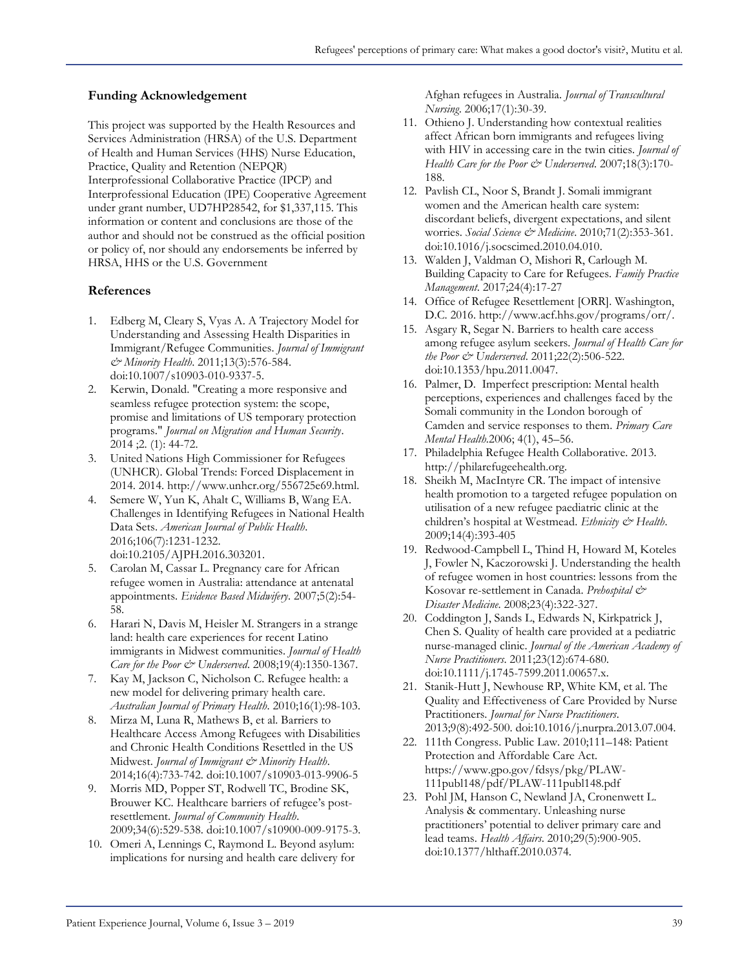## **Funding Acknowledgement**

This project was supported by the Health Resources and Services Administration (HRSA) of the U.S. Department of Health and Human Services (HHS) Nurse Education, Practice, Quality and Retention (NEPQR) Interprofessional Collaborative Practice (IPCP) and Interprofessional Education (IPE) Cooperative Agreement under grant number, UD7HP28542, for \$1,337,115. This information or content and conclusions are those of the author and should not be construed as the official position or policy of, nor should any endorsements be inferred by HRSA, HHS or the U.S. Government

#### **References**

- 1. Edberg M, Cleary S, Vyas A. A Trajectory Model for Understanding and Assessing Health Disparities in Immigrant/Refugee Communities. *Journal of Immigrant & Minority Health*. 2011;13(3):576-584. doi:10.1007/s10903-010-9337-5.
- 2. Kerwin, Donald. "Creating a more responsive and seamless refugee protection system: the scope, promise and limitations of US temporary protection programs." *Journal on Migration and Human Security*. 2014 ;2. (1): 44-72.
- 3. United Nations High Commissioner for Refugees (UNHCR). Global Trends: Forced Displacement in 2014. 2014. http://www.unhcr.org/556725e69.html.
- 4. Semere W, Yun K, Ahalt C, Williams B, Wang EA. Challenges in Identifying Refugees in National Health Data Sets. *American Journal of Public Health*. 2016;106(7):1231-1232. doi:10.2105/AJPH.2016.303201.
- 5. Carolan M, Cassar L. Pregnancy care for African refugee women in Australia: attendance at antenatal appointments. *Evidence Based Midwifery*. 2007;5(2):54- 58.
- 6. Harari N, Davis M, Heisler M. Strangers in a strange land: health care experiences for recent Latino immigrants in Midwest communities. *Journal of Health Care for the Poor & Underserved*. 2008;19(4):1350-1367.
- 7. Kay M, Jackson C, Nicholson C. Refugee health: a new model for delivering primary health care. *Australian Journal of Primary Health*. 2010;16(1):98-103.
- 8. Mirza M, Luna R, Mathews B, et al. Barriers to Healthcare Access Among Refugees with Disabilities and Chronic Health Conditions Resettled in the US Midwest. *Journal of Immigrant & Minority Health*. 2014;16(4):733-742. doi:10.1007/s10903-013-9906-5
- 9. Morris MD, Popper ST, Rodwell TC, Brodine SK, Brouwer KC. Healthcare barriers of refugee's postresettlement. *Journal of Community Health*. 2009;34(6):529-538. doi:10.1007/s10900-009-9175-3.
- 10. Omeri A, Lennings C, Raymond L. Beyond asylum: implications for nursing and health care delivery for

Afghan refugees in Australia. *Journal of Transcultural Nursing*. 2006;17(1):30-39.

- 11. Othieno J. Understanding how contextual realities affect African born immigrants and refugees living with HIV in accessing care in the twin cities. *Journal of Health Care for the Poor & Underserved*. 2007;18(3):170- 188.
- 12. Pavlish CL, Noor S, Brandt J. Somali immigrant women and the American health care system: discordant beliefs, divergent expectations, and silent worries. *Social Science & Medicine*. 2010;71(2):353-361. doi:10.1016/j.socscimed.2010.04.010.
- 13. Walden J, Valdman O, Mishori R, Carlough M. Building Capacity to Care for Refugees. *Family Practice Management*. 2017;24(4):17-27
- 14. Office of Refugee Resettlement [ORR]. Washington, D.C. 2016. http://www.acf.hhs.gov/programs/orr/.
- 15. Asgary R, Segar N. Barriers to health care access among refugee asylum seekers. *Journal of Health Care for the Poor & Underserved*. 2011;22(2):506-522. doi:10.1353/hpu.2011.0047.
- 16. Palmer, D. Imperfect prescription: Mental health perceptions, experiences and challenges faced by the Somali community in the London borough of Camden and service responses to them. *Primary Care Mental Health.*2006; 4(1), 45–56.
- 17. Philadelphia Refugee Health Collaborative. 2013. http://philarefugeehealth.org.
- 18. Sheikh M, MacIntyre CR. The impact of intensive health promotion to a targeted refugee population on utilisation of a new refugee paediatric clinic at the children's hospital at Westmead. *Ethnicity & Health*. 2009;14(4):393-405
- 19. Redwood-Campbell L, Thind H, Howard M, Koteles J, Fowler N, Kaczorowski J. Understanding the health of refugee women in host countries: lessons from the Kosovar re-settlement in Canada. *Prehospital & Disaster Medicine*. 2008;23(4):322-327.
- 20. Coddington J, Sands L, Edwards N, Kirkpatrick J, Chen S. Quality of health care provided at a pediatric nurse-managed clinic. *Journal of the American Academy of Nurse Practitioners*. 2011;23(12):674-680. doi:10.1111/j.1745-7599.2011.00657.x.
- 21. Stanik-Hutt J, Newhouse RP, White KM, et al. The Quality and Effectiveness of Care Provided by Nurse Practitioners. *Journal for Nurse Practitioners*. 2013;9(8):492-500. doi:10.1016/j.nurpra.2013.07.004.
- 22. 111th Congress. Public Law. 2010;111–148: Patient Protection and Affordable Care Act. https://www.gpo.gov/fdsys/pkg/PLAW-111publ148/pdf/PLAW-111publ148.pdf
- 23. Pohl JM, Hanson C, Newland JA, Cronenwett L. Analysis & commentary. Unleashing nurse practitioners' potential to deliver primary care and lead teams. *Health Affairs*. 2010;29(5):900-905. doi:10.1377/hlthaff.2010.0374.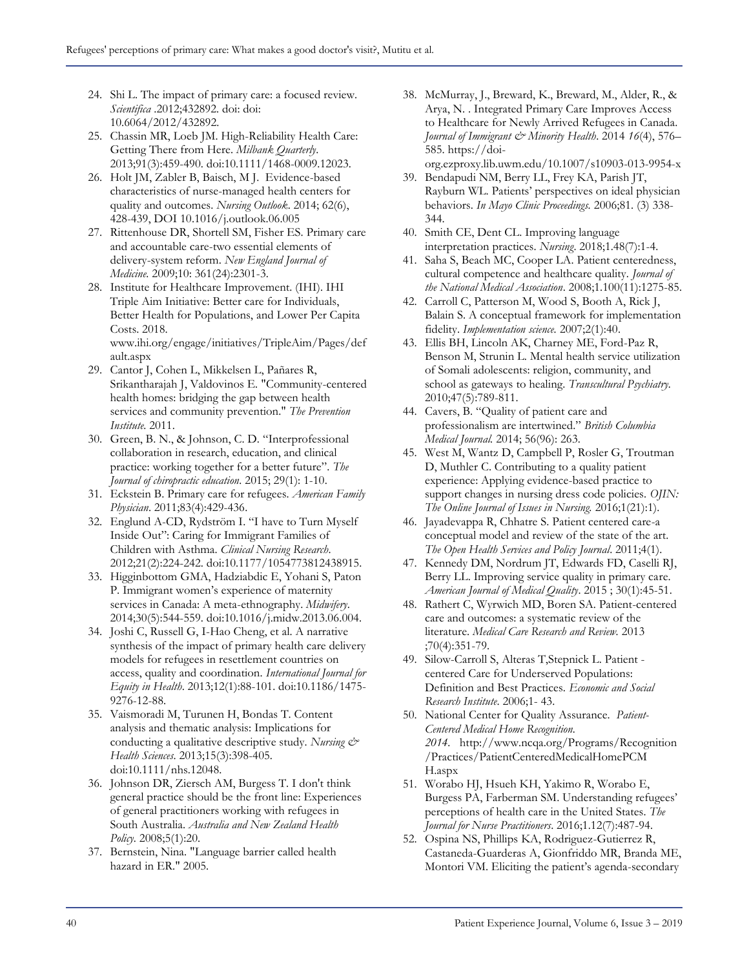- 24. Shi L. The impact of primary care: a focused review. *Scientifica* .2012;432892. doi: doi: 10.6064/2012/432892.
- 25. Chassin MR, Loeb JM. High-Reliability Health Care: Getting There from Here. *Milbank Quarterly*. 2013;91(3):459-490. doi:10.1111/1468-0009.12023.
- 26. Holt JM, Zabler B, Baisch, M J. Evidence-based characteristics of nurse-managed health centers for quality and outcomes. *Nursing Outlook*. 2014; 62(6), 428-439, DOI 10.1016/j.outlook.06.005
- 27. Rittenhouse DR, Shortell SM, Fisher ES. Primary care and accountable care-two essential elements of delivery-system reform. *New England Journal of Medicine.* 2009;10: 361(24):2301-3.
- 28. Institute for Healthcare Improvement. (IHI). IHI Triple Aim Initiative: Better care for Individuals, Better Health for Populations, and Lower Per Capita Costs. 2018. www.ihi.org/engage/initiatives/TripleAim/Pages/def

ault.aspx 29. Cantor J, Cohen L, Mikkelsen L, Pañares R, Srikantharajah J, Valdovinos E. "Community-centered health homes: bridging the gap between health services and community prevention." *The Prevention* 

- *Institute.* 2011. 30. Green, B. N., & Johnson, C. D. "Interprofessional collaboration in research, education, and clinical practice: working together for a better future". *The Journal of chiropractic education.* 2015; 29(1): 1-10.
- 31. Eckstein B. Primary care for refugees. *American Family Physician*. 2011;83(4):429-436.
- 32. Englund A-CD, Rydström I. "I have to Turn Myself Inside Out": Caring for Immigrant Families of Children with Asthma. *Clinical Nursing Research*. 2012;21(2):224-242. doi:10.1177/1054773812438915.
- 33. Higginbottom GMA, Hadziabdic E, Yohani S, Paton P. Immigrant women's experience of maternity services in Canada: A meta-ethnography. *Midwifery*. 2014;30(5):544-559. doi:10.1016/j.midw.2013.06.004.
- 34. Joshi C, Russell G, I-Hao Cheng, et al. A narrative synthesis of the impact of primary health care delivery models for refugees in resettlement countries on access, quality and coordination. *International Journal for Equity in Health*. 2013;12(1):88-101. doi:10.1186/1475- 9276-12-88.
- 35. Vaismoradi M, Turunen H, Bondas T. Content analysis and thematic analysis: Implications for conducting a qualitative descriptive study. *Nursing & Health Sciences*. 2013;15(3):398-405. doi:10.1111/nhs.12048.
- 36. Johnson DR, Ziersch AM, Burgess T. I don't think general practice should be the front line: Experiences of general practitioners working with refugees in South Australia. *Australia and New Zealand Health Policy.* 2008;5(1):20.
- 37. Bernstein, Nina. "Language barrier called health hazard in ER." 2005.
- 38. McMurray, J., Breward, K., Breward, M., Alder, R., & Arya, N. . Integrated Primary Care Improves Access to Healthcare for Newly Arrived Refugees in Canada. *Journal of Immigrant & Minority Health*. 2014 *16*(4), 576– 585. https://doi-
- org.ezproxy.lib.uwm.edu/10.1007/s10903-013-9954-x 39. Bendapudi NM, Berry LL, Frey KA, Parish JT,
- Rayburn WL. Patients' perspectives on ideal physician behaviors. *In Mayo Clinic Proceedings.* 2006;81. (3) 338- 344.
- 40. Smith CE, Dent CL. Improving language interpretation practices. *Nursing*. 2018;1.48(7):1-4.
- 41. Saha S, Beach MC, Cooper LA. Patient centeredness, cultural competence and healthcare quality. *Journal of the National Medical Association*. 2008;1.100(11):1275-85.
- 42. Carroll C, Patterson M, Wood S, Booth A, Rick J, Balain S. A conceptual framework for implementation fidelity. *Implementation science.* 2007;2(1):40.
- 43. Ellis BH, Lincoln AK, Charney ME, Ford-Paz R, Benson M, Strunin L. Mental health service utilization of Somali adolescents: religion, community, and school as gateways to healing. *Transcultural Psychiatry.* 2010;47(5):789-811.
- 44. Cavers, B. "Quality of patient care and professionalism are intertwined." *British Columbia Medical Journal.* 2014; 56(96): 263.
- 45. West M, Wantz D, Campbell P, Rosler G, Troutman D, Muthler C. Contributing to a quality patient experience: Applying evidence-based practice to support changes in nursing dress code policies. *OJIN: The Online Journal of Issues in Nursing.* 2016;1(21):1).
- 46. Jayadevappa R, Chhatre S. Patient centered care-a conceptual model and review of the state of the art. *The Open Health Services and Policy Journal*. 2011;4(1).
- 47. Kennedy DM, Nordrum JT, Edwards FD, Caselli RJ, Berry LL. Improving service quality in primary care. *American Journal of Medical Quality*. 2015 ; 30(1):45-51.
- 48. Rathert C, Wyrwich MD, Boren SA. Patient-centered care and outcomes: a systematic review of the literature. *Medical Care Research and Review.* 2013 ;70(4):351-79.
- 49. Silow-Carroll S, Alteras T,Stepnick L. Patient centered Care for Underserved Populations: Definition and Best Practices. *Economic and Social Research Institute*. 2006;1- 43.
- 50. National Center for Quality Assurance. *Patient-Centered Medical Home Recognition. 2014.* http://www.ncqa.org/Programs/Recognition /Practices/PatientCenteredMedicalHomePCM H.aspx
- 51. Worabo HJ, Hsueh KH, Yakimo R, Worabo E, Burgess PA, Farberman SM. Understanding refugees' perceptions of health care in the United States. *The Journal for Nurse Practitioners*. 2016;1.12(7):487-94.
- 52. Ospina NS, Phillips KA, Rodriguez-Gutierrez R, Castaneda-Guarderas A, Gionfriddo MR, Branda ME, Montori VM. Eliciting the patient's agenda-secondary